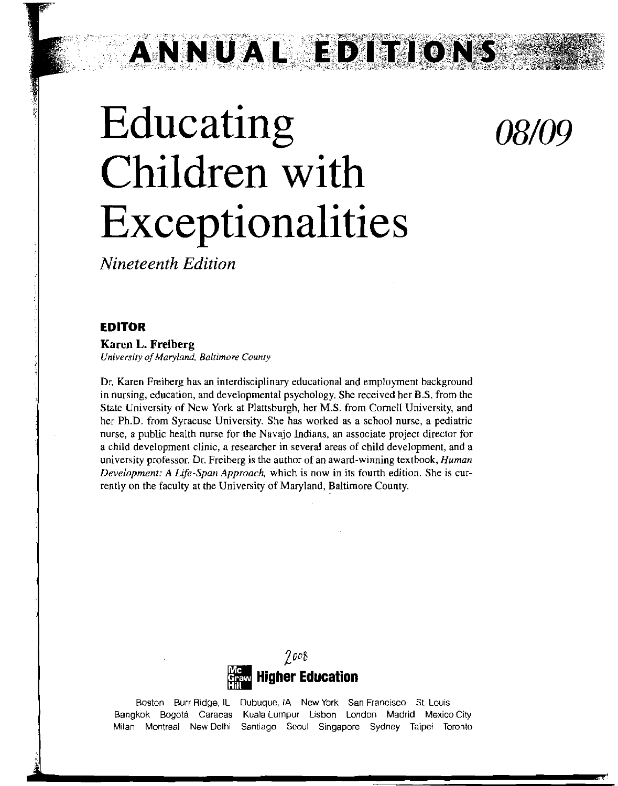## Educating Children with Exceptionalities

ANNUAL EDITIO

*Nineteenth Edition* 

#### **EDITOR**

**Karen** *L.* **Freiberg**  *University of Maryland, Baltimore County* 

Dr. Karen Freiberg has an interdisciplinary educational and employment background in nursing, education, and developmental psychology. She received her B.S. from the State University of New York at Plattsburgh, her M.S. from Cornell University, and her Ph.D. from Syracuse University. She has worked as a school nurse, a pediatric nurse, a public health nurse for the Navajo Indians, an associate project director for a child development clinic, a researcher in several areas of child development, and a university professor. Dr. Freiberg is the author of an award-winning textbook, *Humarr Development: A Life-Span Approach,* which is now in its fourth edition. She is currently on the faculty at the University of Maryland, Baltimore County.



Boston Burr R~dge, lL Dubuque, **IA** New York San Francisco St. Louis Bangkok Bogotá Caracas Kuala Lumpur Lisbon London Madrid Mexico City Milan Montreal NewDelhi Santiago Seoul Singapore Sydney Taipei Toronto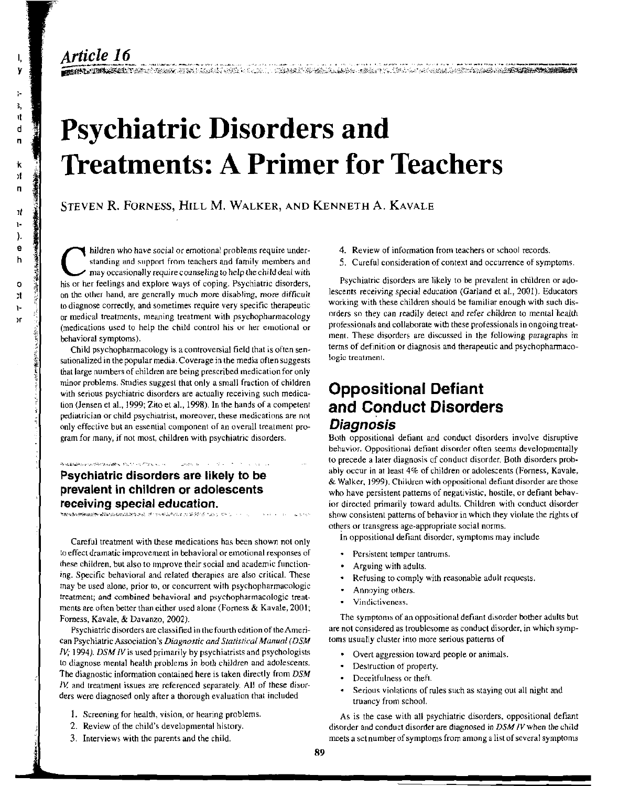#### Article 16

and the contract of the contract of the contract of the contract of the contract of the contract of the contract of the contract of the contract of the contract of the contract of the contract of the contract of the contra

## **Psychiatric Disorders and Treatments: A Primer for Teachers**

#### **STEVEN** R. **FOKNESS, HILL** M. **WALKER, AND KENNETH A. KAVALE**

hildren who have social or emotional problems require under-<br>standing and support from teachers and family members and<br>may occasionally require counseling to help the child deal with<br>his or her feelings and explore ways of standing and support from teachers and family members and may occasionally require counseling to help the child deal with his or her feelings and explore ways of coping. Psychiatric disorders, on the other hand, **are** generally much more disabling, more difficult to diagnose correctly, and sometimes require very specific therapeutic or medical treatments. meaning treatment with psychopharmacology (medications used to help the child control his or her emotional or behavioral symptoms).

Child psychopharmacology is a controversial field that is often sensationalized in the popular media. Coverage in the media often suggests that large numbers of children are being prescribed medication for only minor problems. Studies suggest that only a small fraction of children minor problems. Studies suggest that only a small traction of children<br>with serious psychiatric disorders are actually receiving such medica- **Oppositional Defiant** lion (lensen et al.. 1999; Zito el al., 1998). In the hands of a competent pediatrician or child psychiatrist, moreover, these medications are not only effective but an essential component of an overall treatment pro-<br> **Diagnosis**<br>
Both oppositional defiant and conduct disorders involve disruptive gram for many, if not most, children with psychiatric disorders.

Careful treatment with these medications has been shown not only In oppositional defiant disorder, symptoms may include to effect dramatic improvement in tehavioral or emotional responses of Persistent temper tantrums. these children, but also to improve their social and academic function-<br>Arguing with adults. ing. Specific behavioral and related therapies are also critical. These Refusing to comply with reasonable adult requests. may be used alone, prior to, or concurrent with psychopharmacologic - Annoying others. treatment; and combined behavioral and psychopharmacologic treat-<br>Vindictiveness. ments are often better than either used alone (Forness & Kavale, 2001;

psychiatric disorders are classified in the fourth edition of the Ameri-<br>Psychiatric Association's *Dioppostic and Statistical Manual (DSM* toms usually cluster into more serious patterns of can Psychiatric Association's *Diagnostic and Statistical Manual (DSM IV*; 1994). *DSM IV* is used primarily by psychiatrists and psychologists **Deve** Overt aggression toward people or animals. to diagnose mental health problems in both children and adolescents. - - Destruction of property. The diagnostic information contained here is taken directly from *DSM* Deceitfulness or theft.<br>*IV*, and treatment issues are referenced separately. All of these disor-

- 
- 
- 
- 4. Review of information from teachers or school records.
- 5. Careful consideration of context and occurrence of symptoms,

Psychiatric disorders are likely to be prevalent in children or adolescents receiving special education (Garland et al., 2001). Educators working with these children should be familiar enough with such disorders so they can readily detect and refer children to mental health professionals and collaborate with these professionals in ongoing treatment. These disorders are discussed in the following paragraphs in terms of definition or diagnosis and therapeutic and psychopharmacologic treatment.

# **and Conduct Disorders**

behavior. Oppositional defiant disorder often seems developmentally gram for many, if not most, children with psychiatric disorders.<br>
Both oppositional defiant and conduct disorders involve disruptive<br>
behavior. Oppositional defiant and conduct disorders involve disruptive<br>
to precede a la **Psychiatric disorders are likely to be** ably occur in at least 4% of children or adolescents (Forness, Kavale, & Walker, 1999). Children with oppositional defiant disorder are those **prevalent in children or adolescents** who have persistent patterns of negativistic, hostile, or defiant behav**receiving special education.** ior dtrected primarily toward adults. Children with conduct disorder , .. . . , show consistenl patterns of behavior in which they violate the rights of others or transgress age-apprupriate social norms.

- 
- 
- 
- 
- 

Forness, Kavale, & Davanzo, 2002).<br>**ISO EXACT LAN EXACT LAN SYMPTOMS** The symptoms of an oppositional defiant disorder bother adults but<br>Psychiatric disorders are classified in the fourth edition of the Ameri- are not cons

- 
- 
- 
- Fr, and treatment issues are referenced separately. An or mese used.<br>ders were diagnosed only after a thorough evaluation that included<br>truancy from school.

1. Screening for health, vision, or hearing problems.<br>
2. Review of the child's developmental history.<br>
2. Review of the child's developmental history.<br>
2. Review of the child disorder and conduct disorder are diagnosed in *DSM IV* when the child **3.** Interviews with the parents and the child. meets a sctnumber of symptoms from among a list of several symptoms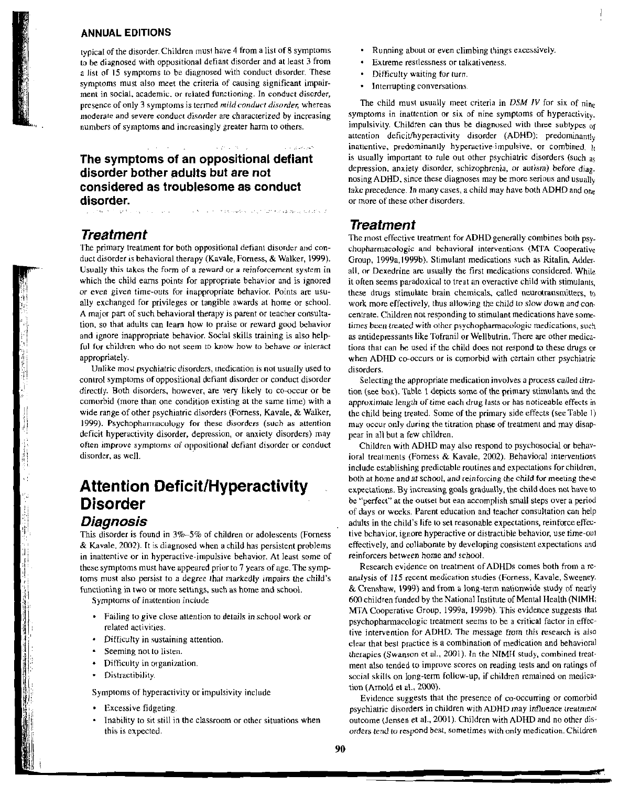#### **ANNUAL EDITIONS**

typical of the disorder. Children must have 4 from a list of 8 symptoms to be diagnosed with oppositional defiant disorder and at least 3 from a list of 15 symptoms to be diagnosed with conduct disorder. These symptoms must also meet the criteria of causing significant impairment in social, academic, or related functioning. In conduct disorder, presence of only 3 symptoms is termed mild conduct disorder, whereas moderate and severe conduct disorder are characterized by increasing numbers of symptoms and increasingly greater harm to others.

#### The symptoms of an oppositional defiant disorder bother adults but are not considered as troublesome as conduct disorder. and contract The American Property County of Canada as a research of

#### **Treatment**

make the couple

The primary treatment for both oppositional defiant disorder and conduct disorder is behavioral therapy (Kavale, Forness, & Walker, 1999). Usually this takes the form of a reward or a reinforcement system in which the child earns points for appropriate behavior and is ignored or even given time-outs for inappropriate behavior. Points are usually exchanged for privileges or tangible awards at home or school. A major part of such behavioral therapy is parent or teacher consultation, so that adults can learn how to praise or reward good behavior and ignore inappropriate behavior. Social skills training is also helpful for children who do not seem to know how to behave or interact appropriately.

Unlike most psychiatric disorders, inedication is not usually used to control symptoms of oppositional defiant disorder or conduct disorder directly. Both disorders, however, are very likely to co-occur or be comorbid (more than one condition existing at the same time) with a wide range of other psychiatric disorders (Forness, Kavale, & Walker, 1999). Psychopharmacology for these disorders (such as attention deficit hyperactivity disorder, depression, or anxiety disorders) may often improve symptoms of oppositional defiant disorder or conduct disorder, as well.

## **Attention Deficit/Hyperactivity Disorder**

#### Diagnosis

This disorder is found in 3%-5% of children or adolescents (Forness & Kavale, 2002). It is diagnosed when a child has persistent problems in inattentive or in hyperactive-impulsive behavior. At least some of these symptoms must have appeared prior to 7 years of age. The symptoms must also persist to a degree that markedly impairs the child's functioning in two or more settings, such as home and school.

Symptoms of inattention include

- Failing to give close attention to details in school work or related activities.
- Difficulty in sustaining attention.
- Seeming not to listen.
- Difficulty in organization.
- Distractibility.

Symptoms of hyperactivity or impulsivity include

- Excessive fidgeting
- Inability to sit still in the classroom or other situations when this is expected.
- Running about or even climbing things excessively.
- Extreme restlessness or talkativeness.
- Difficulty waiting for turn.
- Interrupting conversations.

The child must usually meet criteria in  $DSM$  IV for six of  $n_{\text{ine}}$ symptoms in inattention or six of nine symptoms of hyperactivity. impulsivity. Children can thus be diagnosed with three subtypes of attention deficit/hyperactivity disorder (ADHD): predominantly inattentive, predominantly hyperactive-impulsive, or combined,  $\hat{h}$ is usually important to rule out other psychiatric disorders (such  $a<sub>S</sub>$ depression, anxiety disorder, schizophrenia, or autism) before diagnosing ADHD, since these diagnoses may be more serious and usually take precedence. In many cases, a child may have both ADHD and one or more of these other disorders.

#### **Treatment**

The most effective treatment for ADHD generally combines both psychopharmacologic and behavioral interventions (MTA Cooperative Group, 1999a, 1999b). Stimulant medications such as Ritalin, Adderall, or Dexedrine are usually the first medications considered. While it often seems paradoxical to treat an overactive child with stimulants, these drugs stimulate brain chemicals, called neurotransmitters, to work more effectively, thus allowing the child to slow down and concentrate. Children not responding to stimulant medications have sometimes been treated with other psychopharmacologic medications, such as antidepressants like Tofranil or Wellbutrin. There are other medications that can be used if the child does not respond to these drugs or when ADHD co-occurs or is comorbid with certain other psychiatric disorders.

Selecting the appropriate medication involves a process called titration (see box). Table 1 depicts some of the primary stimulants and the approximate length of time each drug lasts or has noticeable effects in the child being treated. Some of the primary side effects (see Table 1) may occur only during the titration phase of treatment and may disappear in all but a few children.

Children with ADHD may also respond to psychosocial or behavioral treatments (Forness & Kavale, 2002). Behavioral interventions include establishing predictable routines and expectations for children, both at home and at school, and reinforcing the child for meeting these expectations. By increasing goals gradually, the child does not have to be "perfect" at the outset but ean accomplish small steps over a period of days or weeks. Parent education and teacher consultation can help adults in the child's life to set reasonable expectations, reinforce effective bchavior, ignore hyperactive or distractible behavior, use time-out effectively, and collaborate by developing consistent expectations and reinforcers between home and school.

Research evidence on treatment of ADHDs comes both from a reanalysis of 115 recent medication studies (Forness, Kavale, Sweeney. & Crenshaw, 1999) and from a long-term nationwide study of nearly 600 children funded by the National Institute of Mental Health (NIMH; MTA Cooperative Group, 1999a, 1999b). This evidence suggests that psychopharmacologic treatment seems to be a critical factor in effective intervention for ADHD. The message from this research is also clear that best practice is a combination of medication and behavioral therapies (Swanson et al., 2001). In the NIMH study, combined treatment also tended to improve scores on reading tests and on ratings of social skills on long-term follow-up, if children remained on medication (Arnold et al., 2000).

Evidence suggests that the presence of co-occurring or comorbid psychiatric disorders in children with ADHD may influence treatment outcome (Jensen et al., 2001). Children with ADHD and no other disorders tend to respond best, sometimes with only medication. Children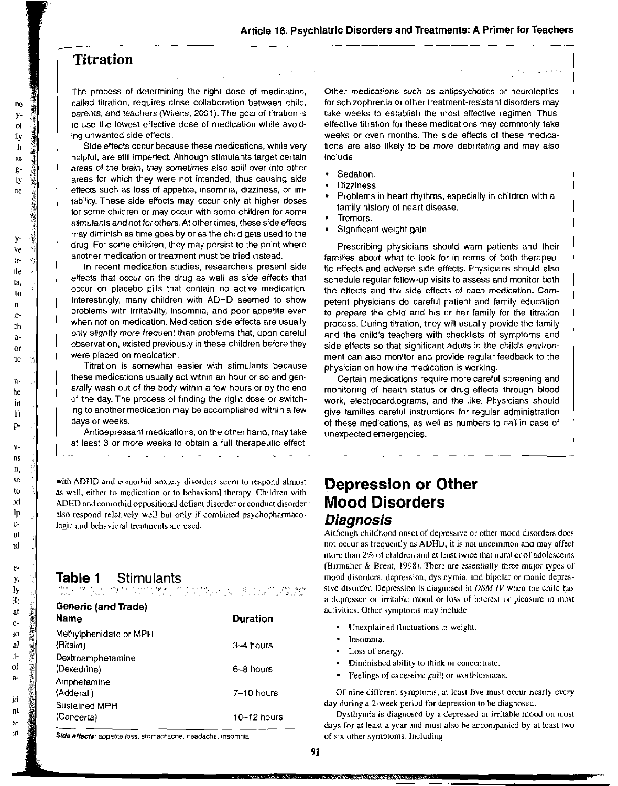#### **Titration**

The process of determining the right dose of medication. called titration, requires close collaboration between child, parents. and teachers (Wilens, 2001). The goal of titration is to use the lowest effective dose of medication while avoiding unwanted side effects.

Side effects occur because these medications, while very helpful, are stili imperfect. Although stimulants target certain areas of the brain, they sometimes also spill over into other areas for which they were not intended, thus causing side effects such as loss of appetite, insomnia, dizziness, or irritability. These side effects may occur only at higher doses for some children or may occur with some children for some stimulants and not for others. At other times, these side effects may diminish as time goes by or as the child gets used to the drug. For some children, they may persist to the point where another medication or treatment must be tried instead.

In recent medication studies, researchers present side effects that occur on the drug as well as side effects that occur on placebo pills that contain no active medication. Interestingly, many children with ADHD seemed to show problems with irritability, insomnia, and poor appetite even when not on medication. Medication side effects are usually only slightly more frequenl than problems that, upon careful observation, existed previously in these children before they were placed on medication.

Titration is somewhat easier with stimulants because these medications usually act within an hour or so and generally wash out of the body within a few hours or by the end of the day. The process of finding the right dose or switching to another medication may be accomplished within a few days or weeks.

Antidepressant medications, on the other hand, may take at least 3 or more weeks to obtain a full therapeutic effect.

with ADHD and comorbid anxiety disorders seem to respond almost **Depression or Other** as well, either to medication or to behavioral therapy. Children with as well, either to medication or to behavioral therapy. Children with **Mood Disorders ADHD** and comorbid oppositional defiant disorder or conduct disorder **Mood Disorders** also respond relatively well but only if combined psychopharmacoalso respond relatively well out only *n* comomed psychopharmaco-<br>logic and behavioral treatments are used.

| н.<br>$\frac{1}{2}$<br>at                 | <b>Generic (and Trade)</b><br>Name | <b>Duration</b> | a depressed or tritable mood or loss of interest or pleasure in most<br>activities. Other symptoms may include                                                                                                                                                                                                         |
|-------------------------------------------|------------------------------------|-----------------|------------------------------------------------------------------------------------------------------------------------------------------------------------------------------------------------------------------------------------------------------------------------------------------------------------------------|
| $C-$<br>痛運<br>30<br>al<br>ıt-<br>of<br>a- | Methylphenidate or MPH             |                 | Unexplained fluctuations in weight.<br>Insomnia.                                                                                                                                                                                                                                                                       |
|                                           | (Ritalin)                          | 3-4 hours       | $\bullet$ Loss of energy.                                                                                                                                                                                                                                                                                              |
|                                           | Dextroamphetamine<br>(Dexedrine)   | 6-8 hours       | Diminished ability to think or concentrate.                                                                                                                                                                                                                                                                            |
|                                           | Amphetamine                        |                 | • Feelings of excessive guilt or worthlessness.                                                                                                                                                                                                                                                                        |
| id                                        | (Adderall)<br>Sustained MPH        | 7-10 hours      | Of nine different symptoms, at least five must occur nearly every<br>day during a 2-week period for depression to be diagnosed.                                                                                                                                                                                        |
| nt<br>$R -$                               | (Concerta)                         | $10 - 12$ hours | Dysthymia is diagnosed by a depressed or irritable mood on most<br>$\mathcal{L} = \{ \mathcal{L} \mid \mathcal{L} \}$ . The set of the set of the set of the set of the set of the set of the set of the set of the set of the set of the set of the set of the set of the set of the set of the set of the set of the |

- 
- 

<u> a compositor de la compositor de la compositor de la compositor de la compositor de la compositor de la compositor de la compositor de la compositor de la compositor de la compositor de la compositor de la compositor de </u>

- Loss of energy.<br>Diminished ability to think or concentrate.
- Feelings of excessive guilt or worthlessness.

10-12 hours days for at least a year and must also be accompanied by at least two and must also he accompanied by at least two or in the attention on must also he accompanied by at least two

Other medications such as antipsychotics or neuroleptics for schizophrenia or other treatment-resistant disorders may take weeks lo establish the most effective regimen. Thus, effective titration for these medications may commonly take weeks or even months. The side effects of these medications are also likely to be more debilitating and may also include

- . Sedation.
- Sedation.<br>• Dizziness.
- Problems in heart rhythms, especially in children with a family history of heart disease.
- Tremors.
- Significant weight gain.

Prescribing physicians should warn patients and their families about what to look lor in terms of both therapeutic effects and adverse side effects. Physicians should also schedule regular follow-up visits to assess and monitor both the effects and the side effects of each medication. Competent physicians do careful patient and family education to prepare the child and his or her family for the titration process. During titration, they will usually provide the family and the child's teachers with checklists of symptoms and side effects so that significant adults in the child's environment can also monitor and provide regular feedback to the physician on how the medication is working.

Certain medications require more careful screening and monitoring of health status or drug effects through blood work, electrocardiograms, and the like. Physicians should give families careful instructions for regular administration of these medications, as well as numbers to call in case of unexpected emergencies.

Although childhood onset of depresswe or other mood disorders does not occur as frequently as ADHD, it is not uncommon and may affect more than 2% of children and at least twice that number of adolescents (Birmaher *B* Brent, 19981. There are essentially three major typcs uf **Table 1** Stimulants mood disorders: depression, dysthymia, and bipolar or manic depres-<br>Service the child has sive disorder. Depression is diagnosed in *DSM IV* when the child has sive disorder. Depression is diagnosed in DSM *IV* when the child has a depressed or irritable mood or loss of interest or pleasure in most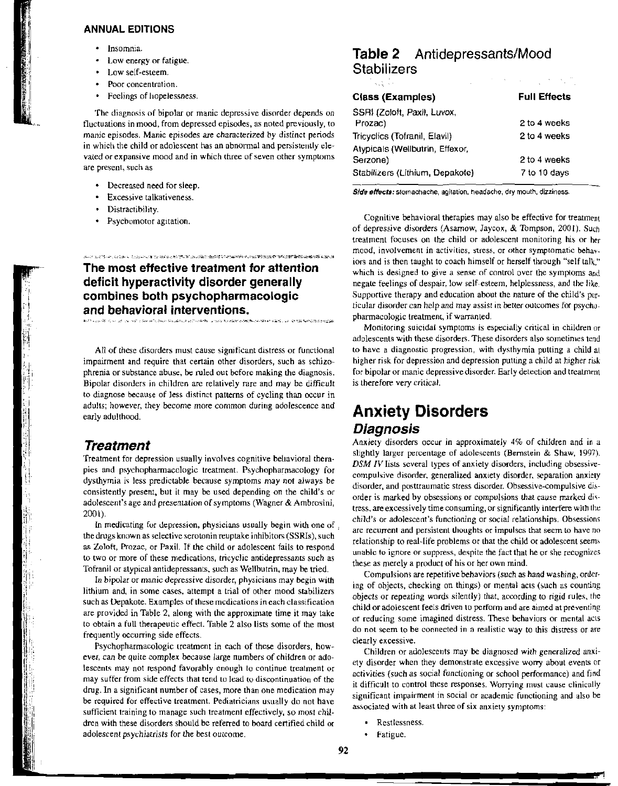#### **ANNUAL EDITIONS**

- Insomnia.
- Low energy or fatigue.
- Low self-esteem.
- Poor concentration.
- Feelings of hopelessness.

The diagnosis of bipolar or manic depressive disorder depends on fluctuations in mood, from depressed episodes, as noted previously, to manic episodes. Manic episodes are characterized by distinct periods in which the child or adolescent has an abnormal and persistently elevated or expansive mood and in which three of seven other symptoms are present, such as

- Decreased need for sleep.
- Excessive talkativeness.
- Distractibility.
- · Psychomotor agitation.

#### The most effective treatment for attention deficit hyperactivity disorder generally combines both psychopharmacologic and behavioral interventions.

。<br>17.17年により、19.4 イントルスーキットルススートMonte Control Time Time の場所の場所を手げた一部の場所をしているのでは特には対策をなく、19.4 (19.4 19.4 19.4 19.4 19

ים.<br>במשפט לאפילוסטים המלוילה בעת מוצא לאפילוסטיביה של מעליה ולאפילוסטיביה, עלי להספר המעלה של האפילוסטיביה לא היה ה

All of these disorders must cause significant distress or functional impairment and require that certain other disorders, such as schizophrenia or substance abuse, be ruled out before making the diagnosis. Bipolar disorders in children are relatively rare and may be difficult to diagnose because of less distinct patterns of cycling than occur in adults; however, they become more common during adolescence and early adulthood.

#### Treatment

Treatment for depression usually involves cognitive behavioral therapies and psychopharmacologic treatment. Psychopharmacology for dysthymia is less predictable because symptoms may not always be consistently present, but it may be used depending on the child's or adolescent's age and presentation of symptoms (Wagner & Ambrosini, 2001).

In medicating for depression, physicians usually begin with one of. the drugs known as selective serotonin reuptake inhibitors (SSRIs), such as Zoloft, Prozac, or Paxil. If the child or adolescent fails to respond to two or more of these medications, tricyclic antidepressants such as Tofranil or atypical antidepressants, such as Wellbutrin, may be tried.

In bipolar or manic depressive disorder, physicians may begin with lithium and, in some cases, attempt a trial of other mood stabilizers such as Depakote. Examples of these medications in each classification are provided in Table 2, along with the approximate time it may take to obtain a full therapeutic effect. Table 2 also lists some of the most frequently occurring side effects.

Psychopharmacologic treatment in each of these disorders, however, can be quite complex because large numbers of children or adolescents may not respond favorably enough to continue treatment or may suffer from side effects that tend to lead to discontinuation of the drug. In a significant number of cases, more than one medication may be required for effective treatment. Pediatricians usually do not have sufficient training to manage such treatment effectively, so most children with these disorders should be referred to board certified child or adolescent psychiatrists for the best outcome.

#### Table 2 Antidepressants/Mood **Stabilizers**

ali IV

| Class (Examples)                | <b>Full Effects</b> |
|---------------------------------|---------------------|
| SSRI (Zoloft, Paxil, Luvox,     |                     |
| Prozac)                         | 2 to 4 weeks        |
| Tricyclics (Tofranil, Elavil)   | 2 to 4 weeks        |
| Atypicals (Wellbutrin, Effexor, |                     |
| Serzone)                        | 2 to 4 weeks        |
| Stabilizers (Lithium, Depakote) | 7 to 10 days        |

 $\label{eq:2.1} \frac{1}{2} \left( \left( \left( \frac{1}{2} \right)^2 \right)^2 \left( \frac{1}{2} \right)^2 \right) \left( \left( \frac{1}{2} \right)^2 \right) \left( \left( \frac{1}{2} \right)^2 \right) \left( \left( \frac{1}{2} \right)^2 \right) \left( \frac{1}{2} \right)^2 \left( \frac{1}{2} \right)^2 \right) \left( \frac{1}{2} \right)^2 \left( \frac{1}{2} \right)^2 \left( \frac{1}{2} \right)^2 \left( \frac{1}{2} \right)^2 \left( \frac{1}{2} \right)^2 \left$ 

Side effects: stomachache, agitation, headache, dry mouth, dizziness.

Cognitive behavioral therapies may also be effective for treatment of depressive disorders (Asamow, Jaycox, & Tompson, 2001). Such treatment focuses on the child or adolescent monitoring his or her mood, involvement in activities, stress, or other symptomatic behaviors and is then taught to coach himself or herself through "self talk." which is designed to give a sense of control over the symptoms and negate feelings of despair, low self-esteem, helplessness, and the like. Supportive therapy and education about the nature of the child's particular disorder can help and may assist in better outcomes for psychopharmacologic treatment, if warranted.

Monitoring suicidal symptoms is especially critical in children or adolescents with these disorders. These disorders also sometimes tend to have a diagnostic progression, with dysthymia putting a child at higher risk for depression and depression putting a child at higher risk for bipolar or manic depressive disorder. Early detection and treatment is therefore very critical.

### **Anxiety Disorders Diagnosis**

Anxiety disorders occur in approximately 4% of children and in a slightly larger percentage of adolescents (Bernstein & Shaw, 1997). DSM IV lists several types of anxiety disorders, including obsessivecompulsive disorder, generalized anxiety disorder, separation anxiety disorder, and posttraumatic stress disorder. Obsessive-compulsive disorder is marked by obsessions or compulsions that cause marked distress, are excessively time consuming, or significantly interfere with the child's or adolescent's functioning or social relationships. Obsessions are recurrent and persistent thoughts or impulses that seem to have no relationship to real-life problems or that the child or adolescent seems unable to ignore or suppress, despite the fact that he or she recognizes these as merely a product of his or her own mind.

Compulsions are repetitive behaviors (such as hand washing, ordering of objects, checking on things) or mental acts (such as counting objects or repeating words silently) that, according to rigid rules, the child or adolescent feels driven to perform and are aimed at preventing or reducing some imagined distress. These behaviors or mental acts do not seem to be connected in a realistic way to this distress or are clearly excessive.

Children or adolescents may be diagnosed with generalized anxiety disorder when they demonstrate excessive worry about events or activities (such as social functioning or school performance) and find it difficult to control these responses. Worrying must cause clinically significant impairment in social or academic functioning and also be associated with at least three of six anxiety symptoms:

• Restlessness.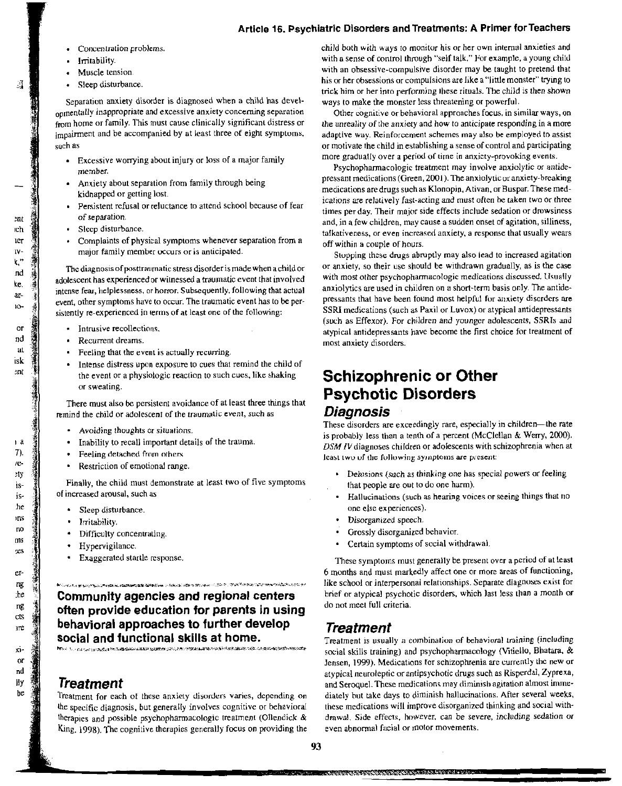#### Article 16. Psychiatric Disorders and Treatments: A Primer for Teachers

- Concentration problems.
- Imitability.
- Muscle tension
- Sleep disturbance.

Separation anxiety disorder is diagnosed when a child has developmentally inappropriate and excessive anxiety concerning separation from home or family. This must cause clinically significant distress or impairment and be accompanied by at least three of eight symptoms, such as

- Excessive worrying about injury or loss of a major family member.
- Anxiety about separation from family through being kidnapped or getting lost.
- Persistent refusal or reluctance to attend school because of fear of separation
- Sleep disturbance.
- Complaints of physical symptoms whenever separation from a major family member occurs or is anticipated.

The diagnosis of posttraumatic stress disorder is made when a child or adolescent has experienced or witnessed a traumatic event that involved intense fear, helplessness, or horror. Subsequently, following that actual event, other symptoms have to occur. The traumatic event has to be persistently re-experienced in terms of at least one of the following:

- Intrusive recollections.
- Recurrent dreams.
- Feeling that the event is actually recurring.
- Intense distress upon exposure to cues that remind the child of the event or a physiologic reaction to such cues, like shaking or sweating.

There must also be persistent avoidance of at least three things that remind the child or adolescent of the traumatic event, such as

- Avoiding thoughts or situations.
- Inability to recall important details of the trauma.
- Feeling detached from others.
- Restriction of emotional range.

Finally, the child must demonstrate at least two of five symptoms of increased arousal, such as

- Sleep disturbance.
- $I$ rritability.
- Difficulty concentrating.
- Hypervigilance.
- Exaggerated startle response.

Community agencies and regional centers often provide education for parents in using behavioral approaches to further develop social and functional skills at home.

**┣₡**₻₼Ŀ₯₼₯₥₯₥₡₡₡₰₫₱₶₲<del>₯₯</del>₯₦₲₥₡<mark>₶₯</mark>₡₯₥₡₯₧₯₯₯₼₯₼₠₡₡₯₯₯₧₰₯₧₯₡₰₯₥₯₯₯₯₯₯₯₯₯₯₥₯₥₯₥₯

#### **Treatment**

Treatment for each of these anxiety disorders varies, depending on the specific diagnosis, but generally involves cognitive or behavioral therapies and possible psychopharmacologic treatment (Ollendick & King, 1998). The cognitive therapies generally focus on providing the child both with ways to monitor his or her own internal anxieties and with a sense of control through "self talk." For example, a young child with an obsessive-compulsive disorder may be taught to pretend that his or her obsessions or compulsions are like a "little monster" trying to trick him or her into performing these rituals. The child is then shown ways to make the monster less threatening or powerful.

Other cognitive or behavioral approaches focus, in similar ways, on the unreality of the anxiety and how to anticipate responding in a more adaptive way. Reinforcement schemes may also be employed to assist or motivate the child in establishing a sense of control and participating more gradually over a period of time in anxiety-provoking events.

Psychopharmacologic treatment may involve anxiolytic or antidepressant medications (Green, 2001). The anxiolytic or anxiety-breaking medications are drugs such as Klonopin, Ativan, or Buspar. These medications are relatively fast-acting and must often be taken two or three times per day. Their major side effects include sedation or drowsiness and, in a few children, may cause a sudden onset of agitation, silliness, talkativeness, or even increased anxiety, a response that usually wears off within a couple of hours.

Stopping these drugs abruptly may also lead to increased agitation or anxiety, so their use should be withdrawn gradually, as is the case with most other psychopharmacologic medications discussed. Usually anxiolytics are used in children on a short-term basis only. The antidepressants that have been found most helpful for anxiety disorders are SSRI medications (such as Paxil or Luvox) or atypical antidepressants (such as Effexor). For children and younger adolescents, SSRIs and atypical antidepressants have become the first choice for treatment of most anxiety disorders.

## **Schizophrenic or Other Psychotic Disorders**

#### Diagnosis

These disorders are exceedingly rare, especially in children-the rate is probably less than a tenth of a percent (McClellan & Werry, 2000). DSM IV diagnoses children or adolescents with schizophrenia when at least two of the following symptoms are present:

- Delusions (such as thinking one has special powers or feeling that people are out to do one harm).
- Hallucinations (such as hearing voices or seeing things that no one else experiences).
- Disorganized speech.
- Grossly disorganized behavior.
- Certain symptoms of social withdrawal.

These symptoms must generally be present over a period of at least 6 months and must markedly affect one or more areas of functioning, like school or interpersonal relationships. Separate diagnoses exist for brief or atypical psychotic disorders, which last less than a month or do not meet full criteria.

#### Treatment

<u> 1999 - 1999 - 1999 AMERICAN ANG ANG ANG KABUPATEN SA BILANG SA PINASA ANG KABUPATEN SA PARTITI</u>

Treatment is usually a combination of behavioral training (including social skills training) and psychopharmacology (Vitiello, Bhatara, & Jensen, 1999). Medications for schizophrenia are currently the new or atypical neuroleptic or antipsychotic drugs such as Risperdal, Zyprexa, and Seroquel. These medications may diminish agitation almost immediately but take days to diminish hallucinations. After several weeks, these medications will improve disorganized thinking and social withdrawal. Side effects, however, can be severe, including sedation or even abnormal facial or motor movements.

 $\Omega$ at isk  $\mathbf{m}$  $\overline{1}$ 7)  $\ell$ 3ty isishe  $17S$ пo ms  $225$ er пg he: ng

cts

3TC

-xi

 $\overline{O}$ 

 $^{\rm nd}$ 

Шy

bc

 $30<sub>0</sub>$ ich <sub>1er</sub> ĮV. k." лd ke ą. 10 лd

 $\mathcal{A}$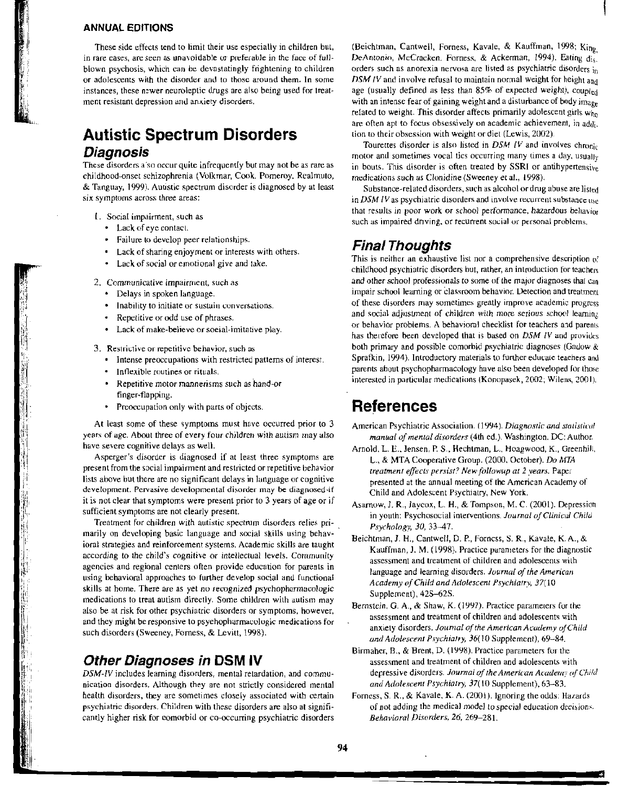#### **ANNUAL EDITIONS**

These side effects tend to limit their use especially in children but, in rare cases, are seen as unavoidable or preferable in the face of fullblown psychosis, which can be devastatingly frightening to children or adolescents with the disorder and to those around them. In some instances, these newer neuroleptic drugs are also being used for treatment resistant depression and anxiety disorders.

### **Autistic Spectrum Disorders Diagnosis**

These disorders also occur quite infrequently but may not be as rare as childhood-onset schizophrenia (Volkmar, Cook. Pomeroy, Realmuto, & Tanguay, 1999). Autistic spectrum disorder is diagnosed by at least six symptoms across three areas:

- 1. Social impairment, such as
	- Lack of eye contact.
	- Failure to develop peer relationships.
	- Lack of sharing enjoyment or interests with others.
	- Lack of social or emotional give and take.
- 2. Communicative impairment, such as
	- Delays in spoken language.
	- $\bullet$ Inability to initiate or sustain conversations.
	- Repetitive or odd use of phrases.
	- Lack of make-believe or social-imitative play.
- 3. Restrictive or repetitive behavior, such as
	- Intense preoccupations with restricted patterns of interest.
	- Inflexible routines or rituals.
	- Repetitive motor mannerisms such as hand-or finger-flapping.
	- Preoccupation only with parts of objects.

At least some of these symptoms must have occurred prior to 3 years of age. About three of every four children with autism may also have severe cognitive delays as well.

Asperger's disorder is diagnosed if at least three symptoms are present from the social impairment and restricted or repetitive behavior lists above but there are no significant delays in language or cognitive development. Pervasive developmental disorder may be diagnosed if it is not clear that symptoms were present prior to 3 years of age or if sufficient symptoms are not clearly present.

Treatment for children with autistic spectrum disorders relies primarily on developing basic language and social skills using behavioral strategies and reinforcement systems. Academic skills are taught according to the child's cognitive or intellectual levels. Community agencies and regional centers often provide education for parents in using behavioral approaches to further develop social and functional skills at home. There are as yet no recognized psychopharmacologic medications to treat autism directly. Some children with autism may also be at risk for other psychiatric disorders or symptoms, however, and they might be responsive to psyehopharmacologic medications for such disorders (Sweeney, Forness, & Levitt, 1998).

#### Other Diagnoses in DSM IV

DSM-IV includes learning disorders, mental retardation, and communication disorders. Although they are not strictly considered mental health disorders, they are sometimes closely associated with certain psychiatric disorders. Children with these disorders are also at significantly higher risk for comorbid or co-occurring psychiatric disorders

(Beichtman, Cantwell, Forness, Kavale, & Kauffman, 1998; King DeAntonio, McCracken, Forness, & Ackerman, 1994). Eating dis. orders such as anorexia nervosa are listed as psychiatric disorders in DSM IV and involve refusal to maintain normal weight for height  $a_{\text{fid}}$ age (usually defined as less than 85% of expected weight), coupled with an intense fear of gaining weight and a disturbance of body image related to weight. This disorder affects primarily adolescent girls  $w_{hn}$ are often ant to focus obsessively on academic achievement, in addi. tion to their obsession with weight or diet (Lewis, 2002).

Tourettes disorder is also listed in DSM IV and involves chronic motor and sometimes vocal tics occurring many times a day, usually in bouts. This disorder is often treated by SSRI or antihypertensive medications such as Clonidine (Sweeney et al., 1998).

Substance-related disorders, such as alcohol or drug abuse are listed in  $DSM$  IV as psychiatric disorders and involve recurrent substance  $u_{80}$ that results in poor work or school performance, hazardous behavior such as impaired driving, or recurrent social or personal problems.

#### **Final Thoughts**

This is neither an exhaustive list nor a comprehensive description  $p_i^2$ childhood psychiatric disorders but, rather, an introduction for teachers and other school professionals to some of the major diagnoses that can impair school learning or classroom behavior. Detection and treatment of these disorders may sometimes greatly improve academic progress and social adjustment of children with more serious school learning or behavior problems. A behavioral checklist for teachers and parents has therefore been developed that is based on DSM IV and provides both primary and possible comorbid psychiatric diagnoses (Gadow & Sprafkin, 1994). Introductory materials to further educate teachers and parents about psychopharmacology have also been developed for those interested in particular medications (Konopasek, 2002; Wilens, 2001).

#### **References**

- American Psychiatric Association. (1994). Diagnostic and statistical manual of mental disorders (4th ed.). Washington, DC: Author.
- Arnold, L. E., Jensen, P. S., Hechtman, L., Hoagwood, K., Greenhill, L., & MTA Cooperative Group. (2000, October). Do MTA treatment effects persist? New followup at 2 years. Paper presented at the annual meeting of the American Academy of Child and Adolescent Psychiatry, New York.
- Asamow, J. R., Jaycox, L. H., & Tompson, M. C. (2001). Depression in youth: Psychosocial interventions. Journal of Clinical Child Psychology, 30, 33-47.
- Beichtman, J. H., Cantwell, D. P., Forness, S. R., Kavale, K. A., & Kauffman, J. M. (1998). Practice parameters for the diagnostic assessment and treatment of children and adolescents with language and learning disorders. Journal of the American Academy of Child and Adolescent Psychiatry, 37(10 Supplement), 42S-62S.
- Bernstein, G. A., & Shaw, K. (1997). Practice parameters for the assessment and treatment of children and adolescents with anxiety disorders. Journal of the American Academy of Child and Adolescent Psychiatry, 36(10 Supplement), 69-84.
- Birmaher, B., & Brent, D. (1998). Practice parameters for the assessment and treatment of children and adolescents with depressive disorders. Journal of the American Academy of Child and Adolescent Psychiatry, 37(10 Supplement), 63-83.
- Forness, S. R., & Kavale, K. A. (2001). Ignoring the odds: Hazards of not adding the medical model to special education decisions. Behavioral Disorders, 26, 269-281.